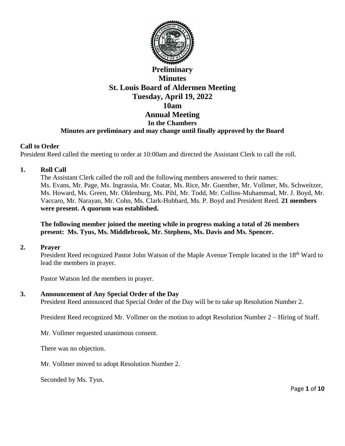

# **Preliminary Minutes St. Louis Board of Aldermen Meeting Tuesday, April 19, 2022 10am Annual Meeting In the Chambers Minutes are preliminary and may change until finally approved by the Board**

#### **Call to Order**

President Reed called the meeting to order at 10:00am and directed the Assistant Clerk to call the roll.

#### **1. Roll Call**

The Assistant Clerk called the roll and the following members answered to their names: Ms. Evans, Mr. Page, Ms. Ingrassia, Mr. Coatar, Ms. Rice, Mr. Guenther, Mr. Vollmer, Ms. Schweitzer, Ms. Howard, Ms. Green, Mr. Oldenburg, Ms. Pihl, Mr. Todd, Mr. Collins-Muhammad, Mr. J. Boyd, Mr. Vaccaro, Mr. Narayan, Mr. Cohn, Ms. Clark-Hubbard, Ms. P. Boyd and President Reed. **21 members were present. A quorum was established.** 

## **The following member joined the meeting while in progress making a total of 26 members present: Ms. Tyus, Ms. Middlebrook, Mr. Stephens, Ms. Davis and Ms. Spencer.**

#### **2. Prayer**

President Reed recognized Pastor John Watson of the Maple Avenue Temple located in the 18<sup>th</sup> Ward to lead the members in prayer.

Pastor Watson led the members in prayer.

#### **3. Announcement of Any Special Order of the Day**

President Reed announced that Special Order of the Day will be to take up Resolution Number 2.

President Reed recognized Mr. Vollmer on the motion to adopt Resolution Number 2 – Hiring of Staff.

Mr. Vollmer requested unanimous consent.

There was no objection.

Mr. Vollmer moved to adopt Resolution Number 2.

Seconded by Ms. Tyus.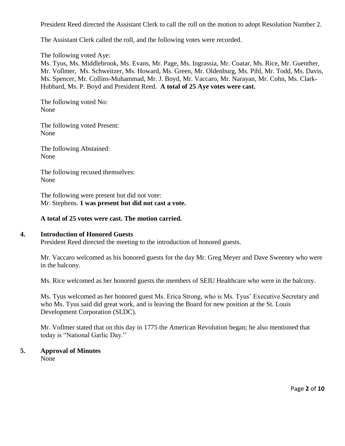President Reed directed the Assistant Clerk to call the roll on the motion to adopt Resolution Number 2.

The Assistant Clerk called the roll, and the following votes were recorded.

The following voted Aye:

Ms. Tyus, Ms. Middlebrook, Ms. Evans, Mr. Page, Ms. Ingrassia, Mr. Coatar, Ms. Rice, Mr. Guenther, Mr. Vollmer, Ms. Schweitzer, Ms. Howard, Ms. Green, Mr. Oldenburg, Ms. Pihl, Mr. Todd, Ms. Davis, Ms. Spencer, Mr. Collins-Muhammad, Mr. J. Boyd, Mr. Vaccaro, Mr. Narayan, Mr. Cohn, Ms. Clark-Hubbard, Ms. P. Boyd and President Reed. **A total of 25 Aye votes were cast.** 

The following voted No: None

The following voted Present: None

The following Abstained: None

The following recused themselves: None

The following were present but did not vote: Mr. Stephens. **1 was present but did not cast a vote.** 

#### **A total of 25 votes were cast. The motion carried.**

#### **4. Introduction of Honored Guests**

President Reed directed the meeting to the introduction of honored guests.

Mr. Vaccaro welcomed as his honored guests for the day Mr. Greg Meyer and Dave Sweeney who were in the balcony.

Ms. Rice welcomed as her honored guests the members of SEIU Healthcare who were in the balcony.

Ms. Tyus welcomed as her honored guest Ms. Erica Strong, who is Ms. Tyus' Executive Secretary and who Ms. Tyus said did great work, and is leaving the Board for new position at the St. Louis Development Corporation (SLDC).

Mr. Vollmer stated that on this day in 1775 the American Revolution began; he also mentioned that today is "National Garlic Day."

# **5. Approval of Minutes**

None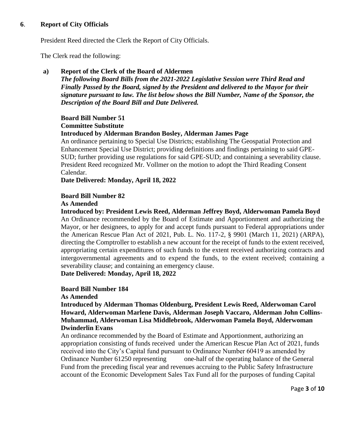## **6**. **Report of City Officials**

President Reed directed the Clerk the Report of City Officials.

The Clerk read the following:

# **a) Report of the Clerk of the Board of Aldermen**

*The following Board Bills from the 2021-2022 Legislative Session were Third Read and Finally Passed by the Board, signed by the President and delivered to the Mayor for their signature pursuant to law. The list below shows the Bill Number, Name of the Sponsor, the Description of the Board Bill and Date Delivered.* 

## **Board Bill Number 51**

## **Committee Substitute**

## **Introduced by Alderman Brandon Bosley, Alderman James Page**

An ordinance pertaining to Special Use Districts; establishing The Geospatial Protection and Enhancement Special Use District; providing definitions and findings pertaining to said GPE-SUD; further providing use regulations for said GPE-SUD; and containing a severability clause. President Reed recognized Mr. Vollmer on the motion to adopt the Third Reading Consent Calendar.

**Date Delivered: Monday, April 18, 2022** 

## **Board Bill Number 82**

## **As Amended**

**Introduced by: President Lewis Reed, Alderman Jeffrey Boyd, Alderwoman Pamela Boyd**  An Ordinance recommended by the Board of Estimate and Apportionment and authorizing the Mayor, or her designees, to apply for and accept funds pursuant to Federal appropriations under the American Rescue Plan Act of 2021, Pub. L. No. 117-2, § 9901 (March 11, 2021) (ARPA), directing the Comptroller to establish a new account for the receipt of funds to the extent received, appropriating certain expenditures of such funds to the extent received authorizing contracts and intergovernmental agreements and to expend the funds, to the extent received; containing a severability clause; and containing an emergency clause.

**Date Delivered: Monday, April 18, 2022** 

## **Board Bill Number 184**

#### **As Amended**

**Introduced by Alderman Thomas Oldenburg, President Lewis Reed, Alderwoman Carol Howard, Alderwoman Marlene Davis, Alderman Joseph Vaccaro, Alderman John Collins-Muhammad, Alderwoman Lisa Middlebrook, Alderwoman Pamela Boyd, Alderwoman Dwinderlin Evans** 

An ordinance recommended by the Board of Estimate and Apportionment, authorizing an appropriation consisting of funds received under the American Rescue Plan Act of 2021, funds received into the City's Capital fund pursuant to Ordinance Number 60419 as amended by Ordinance Number 61250 representing one-half of the operating balance of the General Fund from the preceding fiscal year and revenues accruing to the Public Safety Infrastructure account of the Economic Development Sales Tax Fund all for the purposes of funding Capital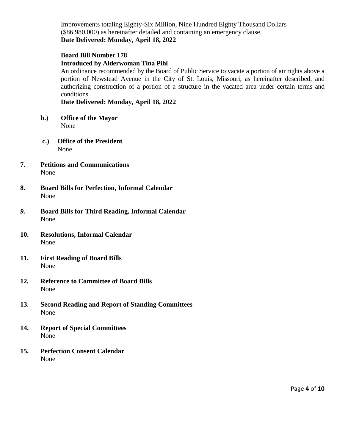Improvements totaling Eighty-Six Million, Nine Hundred Eighty Thousand Dollars (\$86,980,000) as hereinafter detailed and containing an emergency clause. **Date Delivered: Monday, April 18, 2022** 

# **Board Bill Number 178 Introduced by Alderwoman Tina Pihl**

An ordinance recommended by the Board of Public Service to vacate a portion of air rights above a portion of Newstead Avenue in the City of St. Louis, Missouri, as hereinafter described, and authorizing construction of a portion of a structure in the vacated area under certain terms and conditions.

**Date Delivered: Monday, April 18, 2022** 

- **b.) Office of the Mayor**  None
- **c.) Office of the President** None
- **7**. **Petitions and Communications** None
- **8. Board Bills for Perfection, Informal Calendar**  None
- *9.* **Board Bills for Third Reading, Informal Calendar** None
- **10. Resolutions, Informal Calendar** None
- **11. First Reading of Board Bills** None
- **12***.* **Reference to Committee of Board Bills** None
- **13. Second Reading and Report of Standing Committees** None
- **14. Report of Special Committees** None
- **15. Perfection Consent Calendar**  None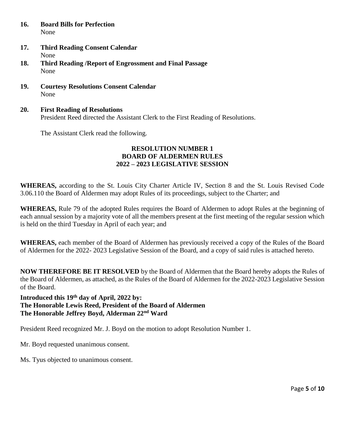- **16. Board Bills for Perfection** None
- **17. Third Reading Consent Calendar** None
- **18. Third Reading /Report of Engrossment and Final Passage** None
- **19. Courtesy Resolutions Consent Calendar**  None
- **20. First Reading of Resolutions**  President Reed directed the Assistant Clerk to the First Reading of Resolutions.

The Assistant Clerk read the following.

## **RESOLUTION NUMBER 1 BOARD OF ALDERMEN RULES 2022 – 2023 LEGISLATIVE SESSION**

**WHEREAS,** according to the St. Louis City Charter Article IV, Section 8 and the St. Louis Revised Code 3.06.110 the Board of Aldermen may adopt Rules of its proceedings, subject to the Charter; and

**WHEREAS,** Rule 79 of the adopted Rules requires the Board of Aldermen to adopt Rules at the beginning of each annual session by a majority vote of all the members present at the first meeting of the regular session which is held on the third Tuesday in April of each year; and

**WHEREAS,** each member of the Board of Aldermen has previously received a copy of the Rules of the Board of Aldermen for the 2022- 2023 Legislative Session of the Board, and a copy of said rules is attached hereto.

**NOW THEREFORE BE IT RESOLVED** by the Board of Aldermen that the Board hereby adopts the Rules of the Board of Aldermen, as attached, as the Rules of the Board of Aldermen for the 2022-2023 Legislative Session of the Board.

**Introduced this 19th day of April, 2022 by: The Honorable Lewis Reed, President of the Board of Aldermen The Honorable Jeffrey Boyd, Alderman 22nd Ward** 

President Reed recognized Mr. J. Boyd on the motion to adopt Resolution Number 1.

Mr. Boyd requested unanimous consent.

Ms. Tyus objected to unanimous consent.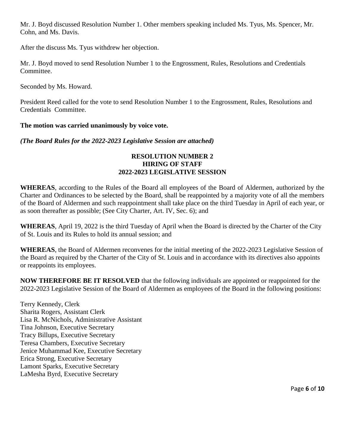Mr. J. Boyd discussed Resolution Number 1. Other members speaking included Ms. Tyus, Ms. Spencer, Mr. Cohn, and Ms. Davis.

After the discuss Ms. Tyus withdrew her objection.

Mr. J. Boyd moved to send Resolution Number 1 to the Engrossment, Rules, Resolutions and Credentials Committee.

Seconded by Ms. Howard.

President Reed called for the vote to send Resolution Number 1 to the Engrossment, Rules, Resolutions and Credentials Committee.

**The motion was carried unanimously by voice vote.** 

*(The Board Rules for the 2022-2023 Legislative Session are attached)*

## **RESOLUTION NUMBER 2 HIRING OF STAFF 2022-2023 LEGISLATIVE SESSION**

**WHEREAS**, according to the Rules of the Board all employees of the Board of Aldermen, authorized by the Charter and Ordinances to be selected by the Board, shall be reappointed by a majority vote of all the members of the Board of Aldermen and such reappointment shall take place on the third Tuesday in April of each year, or as soon thereafter as possible; (See City Charter, Art. IV, Sec. 6); and

**WHEREAS**, April 19, 2022 is the third Tuesday of April when the Board is directed by the Charter of the City of St. Louis and its Rules to hold its annual session; and

**WHEREAS**, the Board of Aldermen reconvenes for the initial meeting of the 2022-2023 Legislative Session of the Board as required by the Charter of the City of St. Louis and in accordance with its directives also appoints or reappoints its employees.

**NOW THEREFORE BE IT RESOLVED** that the following individuals are appointed or reappointed for the 2022-2023 Legislative Session of the Board of Aldermen as employees of the Board in the following positions:

Terry Kennedy, Clerk Sharita Rogers, Assistant Clerk Lisa R. McNichols, Administrative Assistant Tina Johnson, Executive Secretary Tracy Billups, Executive Secretary Teresa Chambers, Executive Secretary Jenice Muhammad Kee, Executive Secretary Erica Strong, Executive Secretary Lamont Sparks, Executive Secretary LaMesha Byrd, Executive Secretary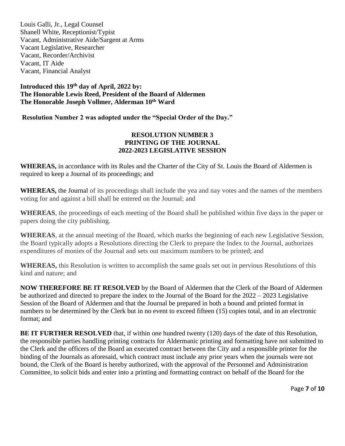Louis Galli, Jr., Legal Counsel Shanell White, Receptionist/Typist Vacant, Administrative Aide/Sargent at Arms Vacant Legislative, Researcher Vacant, Recorder/Archivist Vacant, IT Aide Vacant, Financial Analyst

## **Introduced this 19th day of April, 2022 by: The Honorable Lewis Reed, President of the Board of Aldermen The Honorable Joseph Vollmer, Alderman 10th Ward**

**Resolution Number 2 was adopted under the "Special Order of the Day."**

## **RESOLUTION NUMBER 3 PRINTING OF THE JOURNAL 2022-2023 LEGISLATIVE SESSION**

**WHEREAS,** in accordance with its Rules and the Charter of the City of St. Louis the Board of Aldermen is required to keep a Journal of its proceedings; and

**WHEREAS,** the Journal of its proceedings shall include the yea and nay votes and the names of the members voting for and against a bill shall be entered on the Journal; and

**WHEREAS**, the proceedings of each meeting of the Board shall be published within five days in the paper or papers doing the city publishing.

**WHEREAS**, at the annual meeting of the Board, which marks the beginning of each new Legislative Session, the Board typically adopts a Resolutions directing the Clerk to prepare the Index to the Journal, authorizes expenditures of monies of the Journal and sets out maximum numbers to be printed; and

**WHEREAS,** this Resolution is written to accomplish the same goals set out in pervious Resolutions of this kind and nature; and

**NOW THEREFORE BE IT RESOLVED** by the Board of Aldermen that the Clerk of the Board of Aldermen be authorized and directed to prepare the index to the Journal of the Board for the 2022 – 2023 Legislative Session of the Board of Aldermen and that the Journal be prepared in both a bound and printed format in numbers to be determined by the Clerk but in no event to exceed fifteen (15) copies total, and in an electronic format; and

**BE IT FURTHER RESOLVED** that, if within one hundred twenty (120) days of the date of this Resolution, the responsible parties handling printing contracts for Aldermanic printing and formatting have not submitted to the Clerk and the officers of the Board an executed contract between the City and a responsible printer for the binding of the Journals as aforesaid, which contract must include any prior years when the journals were not bound, the Clerk of the Board is hereby authorized, with the approval of the Personnel and Administration Committee, to solicit bids and enter into a printing and formatting contract on behalf of the Board for the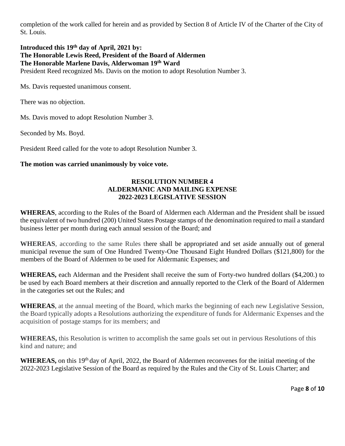completion of the work called for herein and as provided by Section 8 of Article IV of the Charter of the City of St. Louis.

#### **Introduced this 19th day of April, 2021 by: The Honorable Lewis Reed, President of the Board of Aldermen The Honorable Marlene Davis, Alderwoman 19th Ward**  President Reed recognized Ms. Davis on the motion to adopt Resolution Number 3.

Ms. Davis requested unanimous consent.

There was no objection.

Ms. Davis moved to adopt Resolution Number 3.

Seconded by Ms. Boyd.

President Reed called for the vote to adopt Resolution Number 3.

## **The motion was carried unanimously by voice vote.**

## **RESOLUTION NUMBER 4 ALDERMANIC AND MAILING EXPENSE 2022-2023 LEGISLATIVE SESSION**

**WHEREAS**, according to the Rules of the Board of Aldermen each Alderman and the President shall be issued the equivalent of two hundred (200) United States Postage stamps of the denomination required to mail a standard business letter per month during each annual session of the Board; and

**WHEREAS**, according to the same Rules there shall be appropriated and set aside annually out of general municipal revenue the sum of One Hundred Twenty-One Thousand Eight Hundred Dollars (\$121,800) for the members of the Board of Aldermen to be used for Aldermanic Expenses; and

**WHEREAS,** each Alderman and the President shall receive the sum of Forty-two hundred dollars (\$4,200.) to be used by each Board members at their discretion and annually reported to the Clerk of the Board of Aldermen in the categories set out the Rules; and

**WHEREAS**, at the annual meeting of the Board, which marks the beginning of each new Legislative Session, the Board typically adopts a Resolutions authorizing the expenditure of funds for Aldermanic Expenses and the acquisition of postage stamps for its members; and

**WHEREAS,** this Resolution is written to accomplish the same goals set out in pervious Resolutions of this kind and nature; and

WHEREAS, on this 19<sup>th</sup> day of April, 2022, the Board of Aldermen reconvenes for the initial meeting of the 2022-2023 Legislative Session of the Board as required by the Rules and the City of St. Louis Charter; and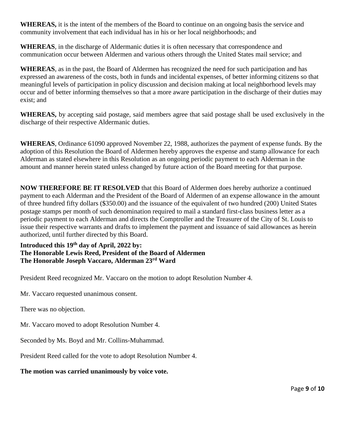**WHEREAS,** it is the intent of the members of the Board to continue on an ongoing basis the service and community involvement that each individual has in his or her local neighborhoods; and

**WHEREAS**, in the discharge of Aldermanic duties it is often necessary that correspondence and communication occur between Aldermen and various others through the United States mail service; and

**WHEREAS**, as in the past, the Board of Aldermen has recognized the need for such participation and has expressed an awareness of the costs, both in funds and incidental expenses, of better informing citizens so that meaningful levels of participation in policy discussion and decision making at local neighborhood levels may occur and of better informing themselves so that a more aware participation in the discharge of their duties may exist; and

**WHEREAS,** by accepting said postage, said members agree that said postage shall be used exclusively in the discharge of their respective Aldermanic duties.

**WHEREAS**, Ordinance 61090 approved November 22, 1988, authorizes the payment of expense funds. By the adoption of this Resolution the Board of Aldermen hereby approves the expense and stamp allowance for each Alderman as stated elsewhere in this Resolution as an ongoing periodic payment to each Alderman in the amount and manner herein stated unless changed by future action of the Board meeting for that purpose.

**NOW THEREFORE BE IT RESOLVED** that this Board of Aldermen does hereby authorize a continued payment to each Alderman and the President of the Board of Aldermen of an expense allowance in the amount of three hundred fifty dollars (\$350.00) and the issuance of the equivalent of two hundred (200) United States postage stamps per month of such denomination required to mail a standard first-class business letter as a periodic payment to each Alderman and directs the Comptroller and the Treasurer of the City of St. Louis to issue their respective warrants and drafts to implement the payment and issuance of said allowances as herein authorized, until further directed by this Board.

## **Introduced this 19th day of April, 2022 by: The Honorable Lewis Reed, President of the Board of Aldermen The Honorable Joseph Vaccaro, Alderman 23rd Ward**

President Reed recognized Mr. Vaccaro on the motion to adopt Resolution Number 4.

Mr. Vaccaro requested unanimous consent.

There was no objection.

Mr. Vaccaro moved to adopt Resolution Number 4.

Seconded by Ms. Boyd and Mr. Collins-Muhammad.

President Reed called for the vote to adopt Resolution Number 4.

## **The motion was carried unanimously by voice vote.**